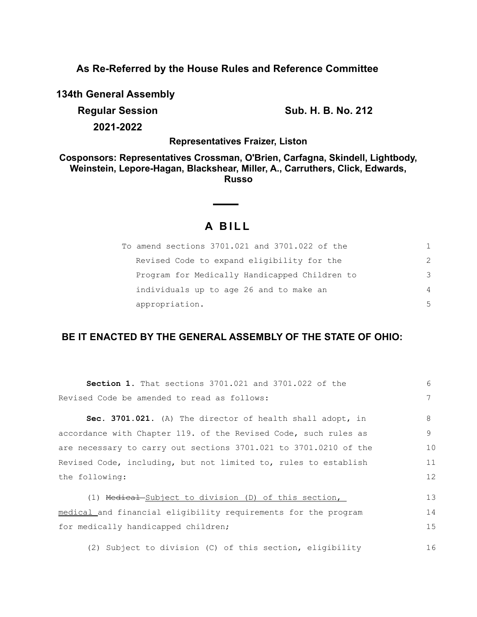# **As Re-Referred by the House Rules and Reference Committee**

**134th General Assembly**

**Regular Session Sub. H. B. No. 212 2021-2022**

**Representatives Fraizer, Liston**

**Cosponsors: Representatives Crossman, O'Brien, Carfagna, Skindell, Lightbody, Weinstein, Lepore-Hagan, Blackshear, Miller, A., Carruthers, Click, Edwards, Russo**

# **A B I L L**

| To amend sections 3701.021 and 3701.022 of the | 1.            |
|------------------------------------------------|---------------|
| Revised Code to expand eligibility for the     | $\mathcal{P}$ |
| Program for Medically Handicapped Children to  | 3             |
| individuals up to age 26 and to make an        | 4             |
| appropriation.                                 | .5            |

# **BE IT ENACTED BY THE GENERAL ASSEMBLY OF THE STATE OF OHIO:**

| <b>Section 1.</b> That sections 3701.021 and 3701.022 of the     | 6  |
|------------------------------------------------------------------|----|
| Revised Code be amended to read as follows:                      | 7  |
|                                                                  |    |
| <b>Sec. 3701.021.</b> (A) The director of health shall adopt, in | 8  |
| accordance with Chapter 119. of the Revised Code, such rules as  | 9  |
| are necessary to carry out sections 3701.021 to 3701.0210 of the | 10 |
| Revised Code, including, but not limited to, rules to establish  | 11 |
| the following:                                                   | 12 |
|                                                                  |    |
| (1) Medical-Subject to division (D) of this section,             | 13 |
| medical and financial eligibility requirements for the program   | 14 |
| for medically handicapped children;                              | 15 |
| Subject to division (C) of this section, eligibility<br>(2)      | 16 |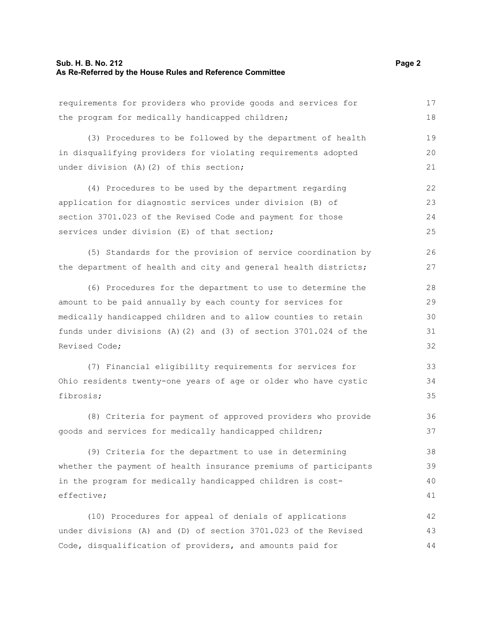#### **Sub. H. B. No. 212 Page 2 As Re-Referred by the House Rules and Reference Committee**

requirements for providers who provide goods and services for the program for medically handicapped children; 17 18

(3) Procedures to be followed by the department of health in disqualifying providers for violating requirements adopted under division (A)(2) of this section;

(4) Procedures to be used by the department regarding application for diagnostic services under division (B) of section 3701.023 of the Revised Code and payment for those services under division (E) of that section; 22 23 24 25

(5) Standards for the provision of service coordination by the department of health and city and general health districts;

(6) Procedures for the department to use to determine the amount to be paid annually by each county for services for medically handicapped children and to allow counties to retain funds under divisions (A)(2) and (3) of section 3701.024 of the Revised Code;

(7) Financial eligibility requirements for services for Ohio residents twenty-one years of age or older who have cystic fibrosis;

(8) Criteria for payment of approved providers who provide goods and services for medically handicapped children;

(9) Criteria for the department to use in determining whether the payment of health insurance premiums of participants in the program for medically handicapped children is costeffective; 38 39 40 41

(10) Procedures for appeal of denials of applications under divisions (A) and (D) of section 3701.023 of the Revised Code, disqualification of providers, and amounts paid for 42 43 44

19 20 21

26 27

33 34 35

36 37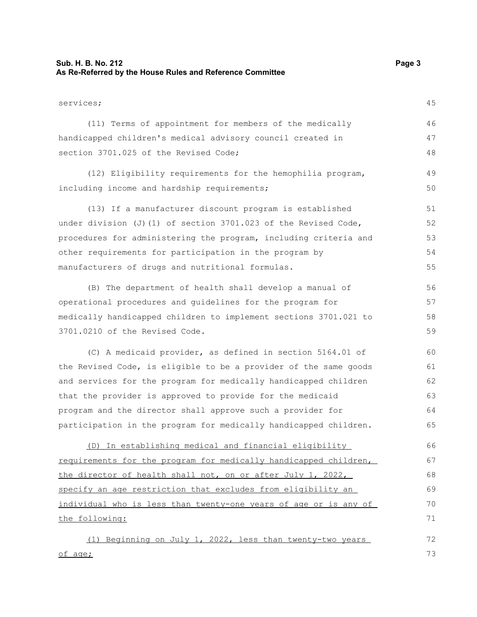## **Sub. H. B. No. 212 Page 3 As Re-Referred by the House Rules and Reference Committee**

services; (11) Terms of appointment for members of the medically handicapped children's medical advisory council created in section 3701.025 of the Revised Code; (12) Eligibility requirements for the hemophilia program, including income and hardship requirements;

(13) If a manufacturer discount program is established under division (J)(1) of section  $3701.023$  of the Revised Code, procedures for administering the program, including criteria and other requirements for participation in the program by manufacturers of drugs and nutritional formulas.

(B) The department of health shall develop a manual of operational procedures and guidelines for the program for medically handicapped children to implement sections 3701.021 to 3701.0210 of the Revised Code. 56 57 58 59

(C) A medicaid provider, as defined in section 5164.01 of the Revised Code, is eligible to be a provider of the same goods and services for the program for medically handicapped children that the provider is approved to provide for the medicaid program and the director shall approve such a provider for participation in the program for medically handicapped children. 60 61 62 63 64 65

(D) In establishing medical and financial eligibility requirements for the program for medically handicapped children, the director of health shall not, on or after July 1, 2022, specify an age restriction that excludes from eligibility an individual who is less than twenty-one years of age or is any of the following: 66 67 68 69 70 71

(1) Beginning on July 1, 2022, less than twenty-two years of age; 72 73

45

46 47 48

49 50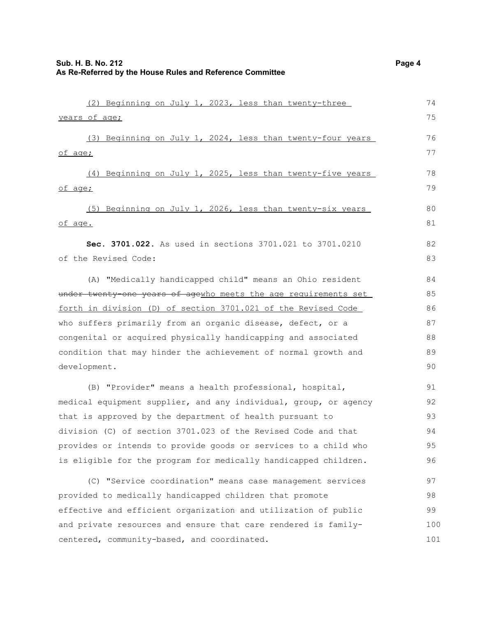| (2) Beginning on July 1, 2023, less than twenty-three            | 74  |
|------------------------------------------------------------------|-----|
| years of age;                                                    | 75  |
| (3) Beginning on July 1, 2024, less than twenty-four years       | 76  |
| <u>of age;</u>                                                   | 77  |
| (4) Beginning on July 1, 2025, less than twenty-five years       | 78  |
| of age;                                                          | 79  |
| Beginning on July 1, 2026, less than twenty-six years<br>(5)     | 80  |
| of age.                                                          | 81  |
| Sec. 3701.022. As used in sections 3701.021 to 3701.0210         | 82  |
| of the Revised Code:                                             | 83  |
| (A) "Medically handicapped child" means an Ohio resident         | 84  |
| under twenty-one years of agewho meets the age requirements set  | 85  |
| forth in division (D) of section 3701.021 of the Revised Code    |     |
| who suffers primarily from an organic disease, defect, or a      |     |
| congenital or acquired physically handicapping and associated    |     |
| condition that may hinder the achievement of normal growth and   |     |
| development.                                                     | 90  |
| (B) "Provider" means a health professional, hospital,            | 91  |
| medical equipment supplier, and any individual, group, or agency | 92  |
| that is approved by the department of health pursuant to         | 93  |
| division (C) of section 3701.023 of the Revised Code and that    | 94  |
| provides or intends to provide goods or services to a child who  | 95  |
| is eligible for the program for medically handicapped children.  | 96  |
| (C) "Service coordination" means case management services        | 97  |
| provided to medically handicapped children that promote          | 98  |
| effective and efficient organization and utilization of public   | 99  |
| and private resources and ensure that care rendered is family-   | 100 |
| centered, community-based, and coordinated.                      | 101 |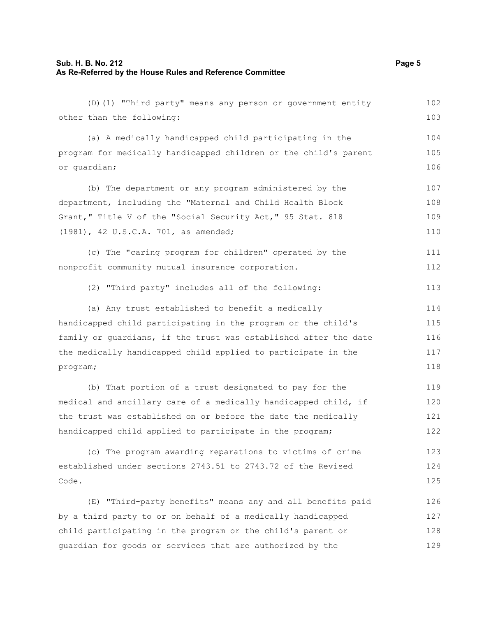## **Sub. H. B. No. 212 Page 5 As Re-Referred by the House Rules and Reference Committee**

(D)(1) "Third party" means any person or government entity other than the following: (a) A medically handicapped child participating in the program for medically handicapped children or the child's parent or guardian; (b) The department or any program administered by the department, including the "Maternal and Child Health Block Grant," Title V of the "Social Security Act," 95 Stat. 818 (1981), 42 U.S.C.A. 701, as amended; (c) The "caring program for children" operated by the nonprofit community mutual insurance corporation. (2) "Third party" includes all of the following: (a) Any trust established to benefit a medically handicapped child participating in the program or the child's family or guardians, if the trust was established after the date the medically handicapped child applied to participate in the program; 102 103 104 105 106 107 108 109 110 111 112 113 114 115 116 117 118

(b) That portion of a trust designated to pay for the medical and ancillary care of a medically handicapped child, if the trust was established on or before the date the medically handicapped child applied to participate in the program; 119 120 121 122

(c) The program awarding reparations to victims of crime established under sections 2743.51 to 2743.72 of the Revised Code. 123 124 125

(E) "Third-party benefits" means any and all benefits paid by a third party to or on behalf of a medically handicapped child participating in the program or the child's parent or guardian for goods or services that are authorized by the 126 127 128 129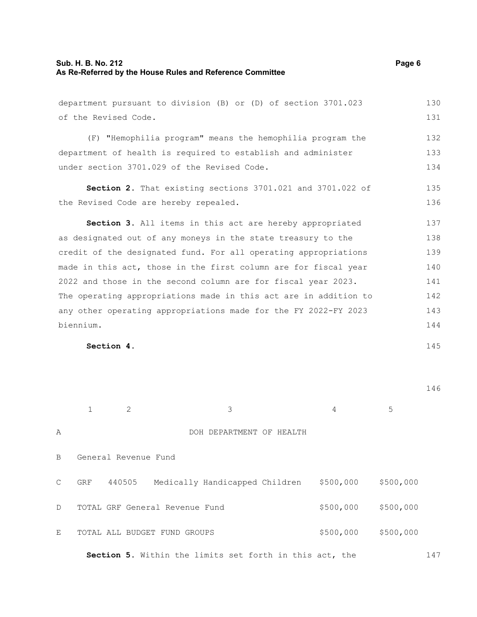## **Sub. H. B. No. 212 Page 6 As Re-Referred by the House Rules and Reference Committee**

department pursuant to division (B) or (D) of section 3701.023

of the Revised Code. (F) "Hemophilia program" means the hemophilia program the department of health is required to establish and administer under section 3701.029 of the Revised Code. **Section 2.** That existing sections 3701.021 and 3701.022 of the Revised Code are hereby repealed. **Section 3.** All items in this act are hereby appropriated as designated out of any moneys in the state treasury to the credit of the designated fund. For all operating appropriations made in this act, those in the first column are for fiscal year 2022 and those in the second column are for fiscal year 2023. The operating appropriations made in this act are in addition to any other operating appropriations made for the FY 2022-FY 2023 biennium. 131 132 133 134 135 136 137 138 139 140 141 142 143 144

**Section 4.** 

146

147

145

 $1 \t 2 \t 3 \t 4 \t 5$ A DOH DEPARTMENT OF HEALTH B General Revenue Fund C GRF 440505 Medically Handicapped Children \$500,000 \$500,000 D TOTAL GRF General Revenue Fund  $$500,000$  \$500,000 E TOTAL ALL BUDGET FUND GROUPS  $$500,000$  \$500,000

**Section 5.** Within the limits set forth in this act, the

130